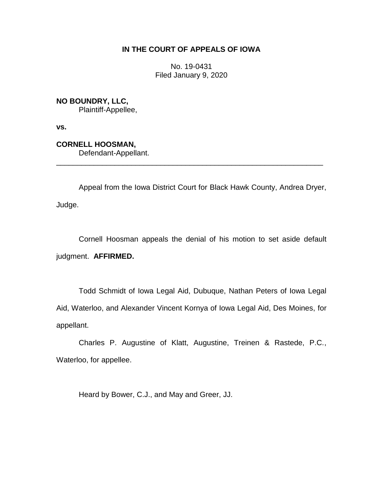# **IN THE COURT OF APPEALS OF IOWA**

No. 19-0431 Filed January 9, 2020

**NO BOUNDRY, LLC,** Plaintiff-Appellee,

**vs.**

**CORNELL HOOSMAN,** Defendant-Appellant.

Appeal from the Iowa District Court for Black Hawk County, Andrea Dryer, Judge.

\_\_\_\_\_\_\_\_\_\_\_\_\_\_\_\_\_\_\_\_\_\_\_\_\_\_\_\_\_\_\_\_\_\_\_\_\_\_\_\_\_\_\_\_\_\_\_\_\_\_\_\_\_\_\_\_\_\_\_\_\_\_\_\_

Cornell Hoosman appeals the denial of his motion to set aside default judgment. **AFFIRMED.**

Todd Schmidt of Iowa Legal Aid, Dubuque, Nathan Peters of Iowa Legal Aid, Waterloo, and Alexander Vincent Kornya of Iowa Legal Aid, Des Moines, for appellant.

Charles P. Augustine of Klatt, Augustine, Treinen & Rastede, P.C., Waterloo, for appellee.

Heard by Bower, C.J., and May and Greer, JJ.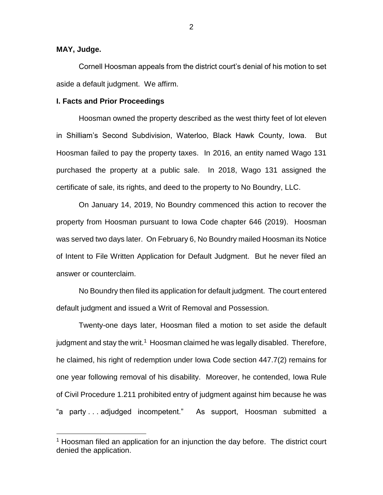# **MAY, Judge.**

 $\overline{a}$ 

Cornell Hoosman appeals from the district court's denial of his motion to set aside a default judgment. We affirm.

#### **I. Facts and Prior Proceedings**

Hoosman owned the property described as the west thirty feet of lot eleven in Shilliam's Second Subdivision, Waterloo, Black Hawk County, Iowa. But Hoosman failed to pay the property taxes. In 2016, an entity named Wago 131 purchased the property at a public sale. In 2018, Wago 131 assigned the certificate of sale, its rights, and deed to the property to No Boundry, LLC.

On January 14, 2019, No Boundry commenced this action to recover the property from Hoosman pursuant to Iowa Code chapter 646 (2019). Hoosman was served two days later. On February 6, No Boundry mailed Hoosman its Notice of Intent to File Written Application for Default Judgment. But he never filed an answer or counterclaim.

No Boundry then filed its application for default judgment. The court entered default judgment and issued a Writ of Removal and Possession.

Twenty-one days later, Hoosman filed a motion to set aside the default judgment and stay the writ. $1$  Hoosman claimed he was legally disabled. Therefore, he claimed, his right of redemption under Iowa Code section 447.7(2) remains for one year following removal of his disability. Moreover, he contended, Iowa Rule of Civil Procedure 1.211 prohibited entry of judgment against him because he was "a party . . . adjudged incompetent." As support, Hoosman submitted a

 $1$  Hoosman filed an application for an injunction the day before. The district court denied the application.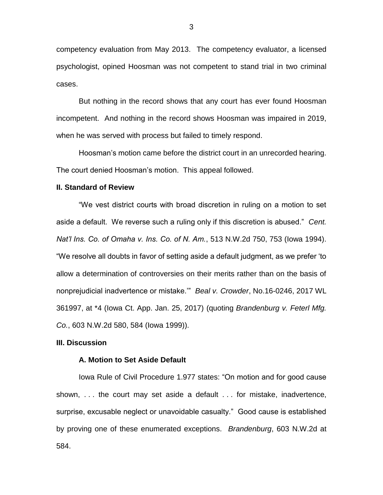competency evaluation from May 2013. The competency evaluator, a licensed psychologist, opined Hoosman was not competent to stand trial in two criminal cases.

But nothing in the record shows that any court has ever found Hoosman incompetent. And nothing in the record shows Hoosman was impaired in 2019, when he was served with process but failed to timely respond.

Hoosman's motion came before the district court in an unrecorded hearing. The court denied Hoosman's motion. This appeal followed.

## **II. Standard of Review**

"We vest district courts with broad discretion in ruling on a motion to set aside a default. We reverse such a ruling only if this discretion is abused." *Cent. Nat'l Ins. Co. of Omaha v. Ins. Co. of N. Am.*, 513 N.W.2d 750, 753 (Iowa 1994). "We resolve all doubts in favor of setting aside a default judgment, as we prefer 'to allow a determination of controversies on their merits rather than on the basis of nonprejudicial inadvertence or mistake.'" *Beal v. Crowder*, No.16-0246, 2017 WL 361997, at \*4 (Iowa Ct. App. Jan. 25, 2017) (quoting *Brandenburg v. Feterl Mfg. Co.*, 603 N.W.2d 580, 584 (Iowa 1999)).

### **III. Discussion**

#### **A. Motion to Set Aside Default**

Iowa Rule of Civil Procedure 1.977 states: "On motion and for good cause shown, . . . the court may set aside a default . . . for mistake, inadvertence, surprise, excusable neglect or unavoidable casualty." Good cause is established by proving one of these enumerated exceptions. *Brandenburg*, 603 N.W.2d at 584.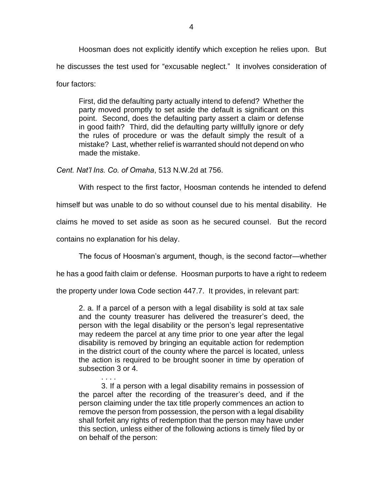Hoosman does not explicitly identify which exception he relies upon. But he discusses the test used for "excusable neglect." It involves consideration of four factors:

First, did the defaulting party actually intend to defend? Whether the party moved promptly to set aside the default is significant on this point. Second, does the defaulting party assert a claim or defense in good faith? Third, did the defaulting party willfully ignore or defy the rules of procedure or was the default simply the result of a mistake? Last, whether relief is warranted should not depend on who made the mistake.

*Cent. Nat'l Ins. Co. of Omaha*, 513 N.W.2d at 756.

With respect to the first factor, Hoosman contends he intended to defend

himself but was unable to do so without counsel due to his mental disability. He

claims he moved to set aside as soon as he secured counsel. But the record

contains no explanation for his delay.

The focus of Hoosman's argument, though, is the second factor—whether

he has a good faith claim or defense. Hoosman purports to have a right to redeem

the property under Iowa Code section 447.7. It provides, in relevant part:

2. a. If a parcel of a person with a legal disability is sold at tax sale and the county treasurer has delivered the treasurer's deed, the person with the legal disability or the person's legal representative may redeem the parcel at any time prior to one year after the legal disability is removed by bringing an equitable action for redemption in the district court of the county where the parcel is located, unless the action is required to be brought sooner in time by operation of subsection 3 or 4.

. . . . 3. If a person with a legal disability remains in possession of the parcel after the recording of the treasurer's deed, and if the person claiming under the tax title properly commences an action to remove the person from possession, the person with a legal disability shall forfeit any rights of redemption that the person may have under this section, unless either of the following actions is timely filed by or on behalf of the person: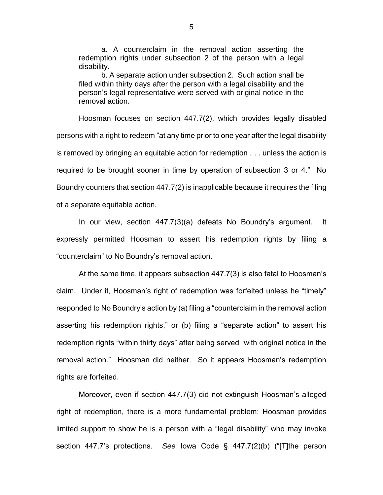a. A counterclaim in the removal action asserting the redemption rights under subsection 2 of the person with a legal disability.

b. A separate action under subsection 2. Such action shall be filed within thirty days after the person with a legal disability and the person's legal representative were served with original notice in the removal action.

Hoosman focuses on section 447.7(2), which provides legally disabled persons with a right to redeem "at any time prior to one year after the legal disability is removed by bringing an equitable action for redemption . . . unless the action is required to be brought sooner in time by operation of subsection 3 or 4." No Boundry counters that section 447.7(2) is inapplicable because it requires the filing of a separate equitable action.

In our view, section 447.7(3)(a) defeats No Boundry's argument. It expressly permitted Hoosman to assert his redemption rights by filing a "counterclaim" to No Boundry's removal action.

At the same time, it appears subsection 447.7(3) is also fatal to Hoosman's claim. Under it, Hoosman's right of redemption was forfeited unless he "timely" responded to No Boundry's action by (a) filing a "counterclaim in the removal action asserting his redemption rights," or (b) filing a "separate action" to assert his redemption rights "within thirty days" after being served "with original notice in the removal action." Hoosman did neither. So it appears Hoosman's redemption rights are forfeited.

Moreover, even if section 447.7(3) did not extinguish Hoosman's alleged right of redemption, there is a more fundamental problem: Hoosman provides limited support to show he is a person with a "legal disability" who may invoke section 447.7's protections. *See* Iowa Code § 447.7(2)(b) ("[T]the person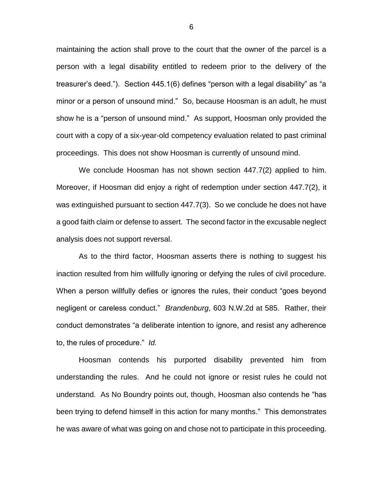maintaining the action shall prove to the court that the owner of the parcel is a person with a legal disability entitled to redeem prior to the delivery of the treasurer's deed."). Section 445.1(6) defines "person with a legal disability" as "a minor or a person of unsound mind." So, because Hoosman is an adult, he must show he is a "person of unsound mind." As support, Hoosman only provided the court with a copy of a six-year-old competency evaluation related to past criminal proceedings. This does not show Hoosman is currently of unsound mind.

We conclude Hoosman has not shown section 447.7(2) applied to him. Moreover, if Hoosman did enjoy a right of redemption under section 447.7(2), it was extinguished pursuant to section 447.7(3). So we conclude he does not have a good faith claim or defense to assert. The second factor in the excusable neglect analysis does not support reversal.

As to the third factor, Hoosman asserts there is nothing to suggest his inaction resulted from him willfully ignoring or defying the rules of civil procedure. When a person willfully defies or ignores the rules, their conduct "goes beyond negligent or careless conduct." *Brandenburg*, 603 N.W.2d at 585. Rather, their conduct demonstrates "a deliberate intention to ignore, and resist any adherence to, the rules of procedure." *Id.*

Hoosman contends his purported disability prevented him from understanding the rules. And he could not ignore or resist rules he could not understand. As No Boundry points out, though, Hoosman also contends he "has been trying to defend himself in this action for many months." This demonstrates he was aware of what was going on and chose not to participate in this proceeding.

6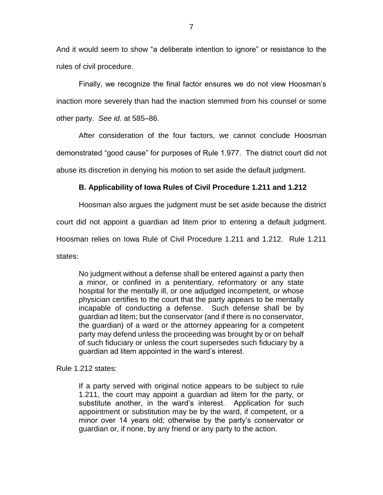And it would seem to show "a deliberate intention to ignore" or resistance to the rules of civil procedure.

Finally, we recognize the final factor ensures we do not view Hoosman's inaction more severely than had the inaction stemmed from his counsel or some other party. *See id.* at 585–86.

After consideration of the four factors, we cannot conclude Hoosman demonstrated "good cause" for purposes of Rule 1.977. The district court did not abuse its discretion in denying his motion to set aside the default judgment.

# **B. Applicability of Iowa Rules of Civil Procedure 1.211 and 1.212**

Hoosman also argues the judgment must be set aside because the district

court did not appoint a guardian ad litem prior to entering a default judgment.

Hoosman relies on Iowa Rule of Civil Procedure 1.211 and 1.212. Rule 1.211

states:

No judgment without a defense shall be entered against a party then a minor, or confined in a penitentiary, reformatory or any state hospital for the mentally ill, or one adjudged incompetent, or whose physician certifies to the court that the party appears to be mentally incapable of conducting a defense. Such defense shall be by guardian ad litem; but the conservator (and if there is no conservator, the guardian) of a ward or the attorney appearing for a competent party may defend unless the proceeding was brought by or on behalf of such fiduciary or unless the court supersedes such fiduciary by a guardian ad litem appointed in the ward's interest.

Rule 1.212 states:

If a party served with original notice appears to be subject to rule 1.211, the court may appoint a guardian ad litem for the party, or substitute another, in the ward's interest. Application for such appointment or substitution may be by the ward, if competent, or a minor over 14 years old; otherwise by the party's conservator or guardian or, if none, by any friend or any party to the action.